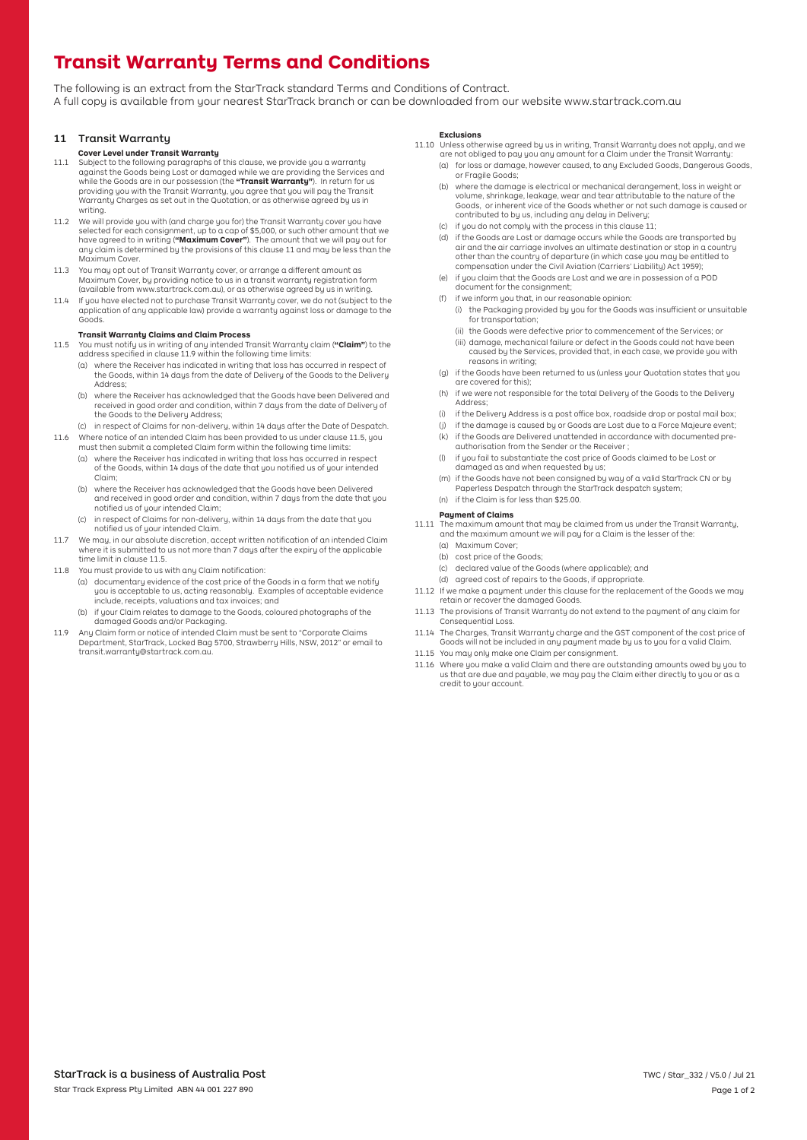# **Transit Warranty Terms and Conditions**

The following is an extract from the StarTrack standard Terms and Conditions of Contract. A full copy is available from your nearest StarTrack branch or can be downloaded from our website<www.startrack.com.au>

## 11 Transit Warranty

### **Cover Level under Transit Warranty**

- 11.1 Subject to the following paragraphs of this clause, we provide you a warranty against the Goods being Lost or damaged while we are providing the Services and while the Goods are in our possession (the **"Transit Warranty"**). In return for us providing you with the Transit Warranty, you agree that you will pay the Transit Warranty Charges as set out in the Quotation, or as otherwise agreed by us in writing.
- 11.2 We will provide you with (and charge you for) the Transit Warranty cover you have selected for each consignment, up to a cap of \$5,000, or such other amount that we have agreed to in writing (**"Maximum Cover"**). The amount that we will pay out for any claim is determined by the provisions of this clause 11 and may be less than the Maximum Cover.
- 11.3 You may opt out of Transit Warranty cover, or arrange a different amount as Maximum Cover, by providing notice to us in a transit warranty registration form (available from <www.startrack.com.au>), or as otherwise agreed by us in writing.
- 11.4 If you have elected not to purchase Transit Warranty cover, we do not (subject to the application of any applicable law) provide a warranty against loss or damage to the Goods.

### **Transit Warranty Claims and Claim Process**

- 11.5 You must notify us in writing of any intended Transit Warranty claim (**"Claim"**) to the address specified in clause 11.9 within the following time limits:
	- (a) where the Receiver has indicated in writing that loss has occurred in respect of the Goods, within 14 days from the date of Delivery of the Goods to the Delivery Address;
	- (b) where the Receiver has acknowledged that the Goods have been Delivered and received in good order and condition, within 7 days from the date of Delivery of the Goods to the Deliveru Address;
- (c) in respect of Claims for non-delivery, within 14 days after the Date of Despatch. 11.6 Where notice of an intended Claim has been provided to us under clause 11.5, you
	- must then submit a completed Claim form within the following time limits: (a) where the Receiver has indicated in writing that loss has occurred in respect of the Goods, within 14 days of the date that you notified us of your intended
		- notified us of your intended Claim; Claim; (b) where the Receiver has acknowledged that the Goods have been Delivered and received in good order and condition, within 7 days from the date that you
		- notified us of your intended Claim. (c) in respect of Claims for non-delivery, within 14 days from the date that you
- 11.7 We may, in our absolute discretion, accept written notification of an intended Claim where it is submitted to us not more than 7 days after the expiry of the applicable time limit in clause 11.5.
- 11.8 You must provide to us with any Claim notification:
	- (a) documentary evidence of the cost price of the Goods in a form that we notify you is acceptable to us, acting reasonably. Examples of acceptable evidence include, receipts, valuations and tax invoices; and
	- (b) if your Claim relates to damage to the Goods, coloured photographs of the damaged Goods and/or Packaging.
- 11.9 Any Claim form or notice of intended Claim must be sent to "Corporate Claims Department, StarTrack, Locked Bag 5700, Strawberry Hills, NSW, 2012" or email to transit.warranty@startrack.com.au.

#### **Exclusions**

- are not obliged to pay you any amount for a Claim under the Transit Warranty: 11.10 Unless otherwise agreed by us in writing, Transit Warranty does not apply, and we
	- (a) for loss or damage, however caused, to any Excluded Goods, Dangerous Goods, or Fragile Goods;
	- (b) where the damage is electrical or mechanical derangement, loss in weight or volume, shrinkage, leakage, wear and tear attributable to the nature of the Goods, or inherent vice of the Goods whether or not such damage is caused or contributed to by us, including any delay in Delivery;
	- (c) if you do not comply with the process in this clause 11;
	- other than the country of departure (in which case you may be entitled to compensation under the Civil Aviation (Carriers' Liability) Act 1959); (d) if the Goods are Lost or damage occurs while the Goods are transported by air and the air carriage involves an ultimate destination or stop in a country
	- $i$  if you claim that the Goods are Lost and we are in possession of a POD document for the consignment;
	- (f) if we inform you that, in our reasonable opinion:
		- (i) the Packaging provided by you for the Goods was insufficient or unsuitable<br>for transportation;
		- (ii) the Goods were defective prior to commencement of the Services; or
		- (iii) damage, mechanical failure or defect in the Goods could not have been caused by the Services, provided that, in each case, we provide you with reasons in writing;
	- (g) if the Goods have been returned to us (unless your Quotation states that you are covered for this);
	- (h) if we were not responsible for the total Delivery of the Goods to the Delivery Address;
	- (i) if the Delivery Address is a post office box, roadside drop or postal mail box;
	- if the damage is caused by or Goods are Lost due to a Force Majeure event;
	- (k) if the Goods are Delivered unattended in accordance with documented preauthorisation from the Sender or the Receiver ;
	- (l) if you fail to substantiate the cost price of Goods claimed to be Lost or damaged as and when requested by us;
	- (m) if the Goods have not been consigned by way of a valid StarTrack CN or by Paperless Despatch through the StarTrack despatch system; (n) if the Claim is for less than \$25.00.

## **Payment of Claims**

- and the maximum amount we will pay for a Claim is the lesser of the: 11.11 The maximum amount that may be claimed from us under the Transit Warranty,
	- (a) Maximum Cover;
	- (b) cost price of the Goods;
	- (c) declared value of the Goods (where applicable); and
	- (d) agreed cost of repairs to the Goods, if appropriate.
- 11.12 If we make a payment under this clause for the replacement of the Goods we may retain or recover the damaged Goods.
- 11.13 The provisions of Transit Warranty do not extend to the payment of any claim for Consequential Loss.
- 11.14 The Charges, Transit Warranty charge and the GST component of the cost price of Goods will not be included in any payment made by us to you for a valid Claim.
- 11.15 You may only make one Claim per consignment.
- 11.16 Where you make a valid Claim and there are outstanding amounts owed by you to us that are due and payable, we may pay the Claim either directly to you or as a credit to your account.